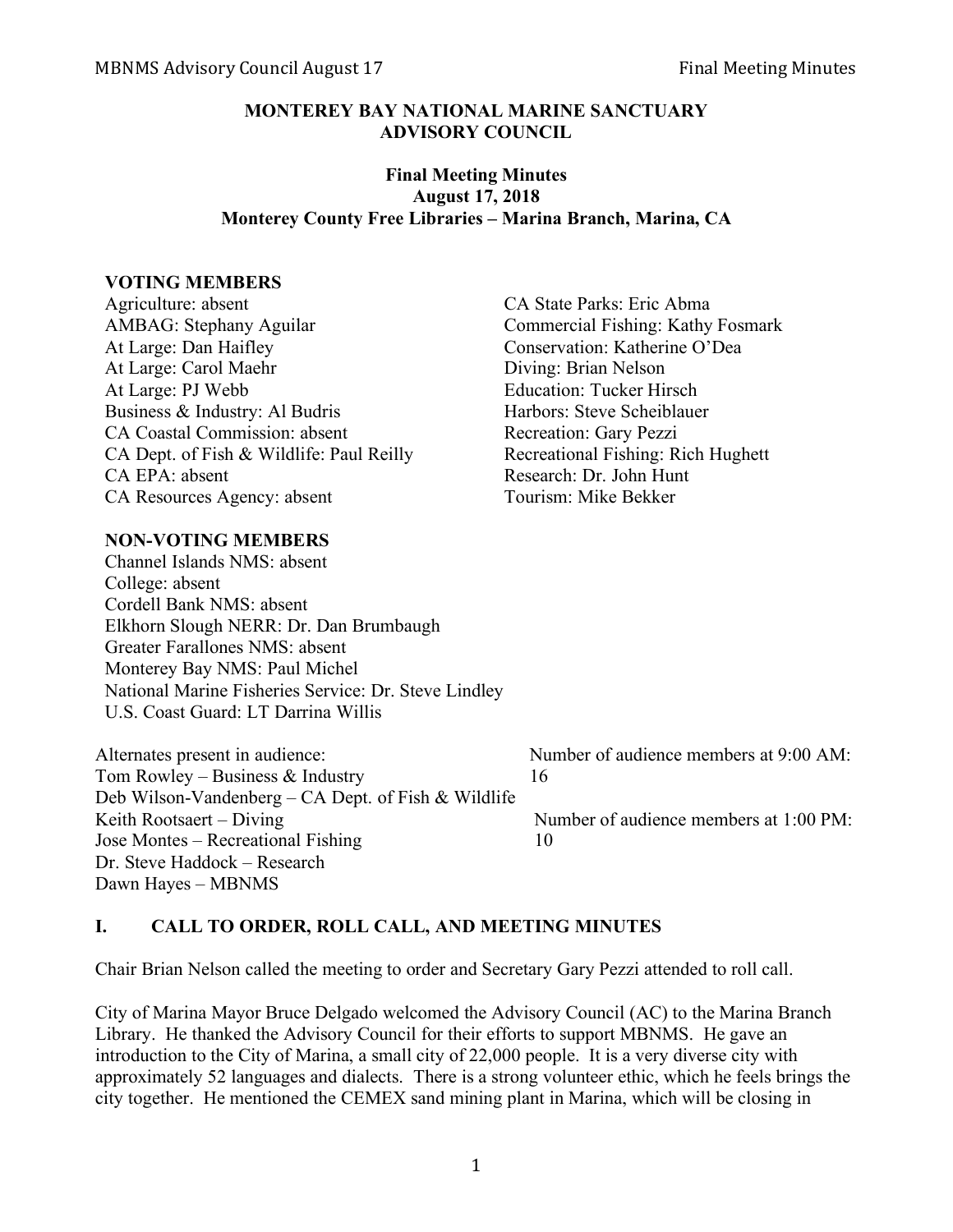### **MONTEREY BAY NATIONAL MARINE SANCTUARY ADVISORY COUNCIL**

#### **Final Meeting Minutes August 17, 2018 Monterey County Free Libraries – Marina Branch, Marina, CA**

#### **VOTING MEMBERS**

Agriculture: absent CA State Parks: Eric Abma AMBAG: Stephany Aguilar Commercial Fishing: Kathy Fosmark At Large: Dan Haifley Conservation: Katherine O'Dea At Large: Carol Maehr Diving: Brian Nelson At Large: PJ Webb Education: Tucker Hirsch Business & Industry: Al Budris Harbors: Steve Scheiblauer CA Coastal Commission: absent Recreation: Gary Pezzi CA Dept. of Fish & Wildlife: Paul Reilly Recreational Fishing: Rich Hughett CA EPA: absent Research: Dr. John Hunt CA Resources Agency: absent Tourism: Mike Bekker

## **NON-VOTING MEMBERS**

Channel Islands NMS: absent College: absent Cordell Bank NMS: absent Elkhorn Slough NERR: Dr. Dan Brumbaugh Greater Farallones NMS: absent Monterey Bay NMS: Paul Michel National Marine Fisheries Service: Dr. Steve Lindley U.S. Coast Guard: LT Darrina Willis

Tom Rowley – Business & Industry 16 Deb Wilson-Vandenberg – CA Dept. of Fish & Wildlife Keith Rootsaert – Diving Number of audience members at 1:00 PM: Jose Montes – Recreational Fishing 10 Dr. Steve Haddock – Research Dawn Hayes – MBNMS

Alternates present in audience: Number of audience members at 9:00 AM:

## **I. CALL TO ORDER, ROLL CALL, AND MEETING MINUTES**

Chair Brian Nelson called the meeting to order and Secretary Gary Pezzi attended to roll call.

City of Marina Mayor Bruce Delgado welcomed the Advisory Council (AC) to the Marina Branch Library. He thanked the Advisory Council for their efforts to support MBNMS. He gave an introduction to the City of Marina, a small city of 22,000 people. It is a very diverse city with approximately 52 languages and dialects. There is a strong volunteer ethic, which he feels brings the city together. He mentioned the CEMEX sand mining plant in Marina, which will be closing in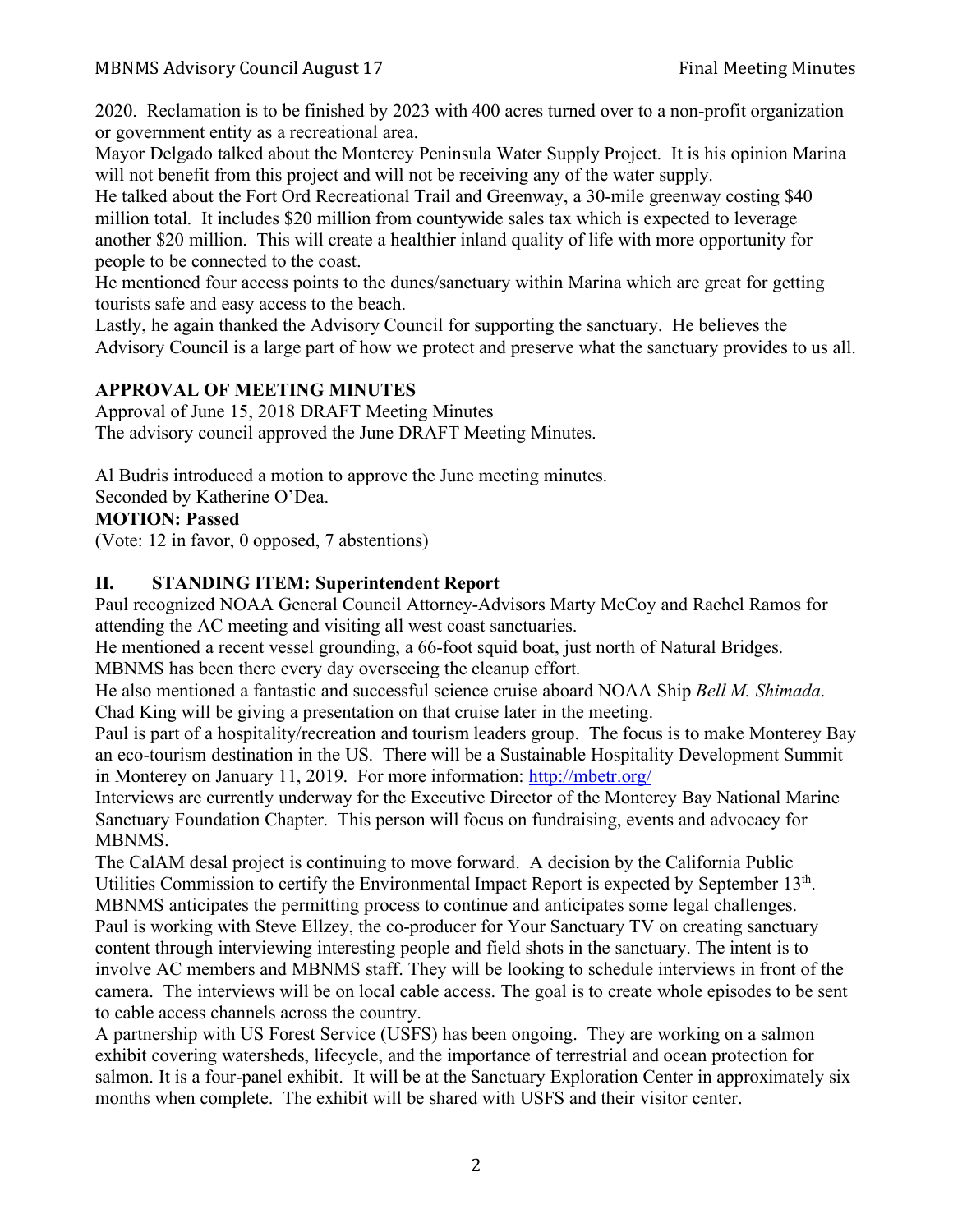2020. Reclamation is to be finished by 2023 with 400 acres turned over to a non-profit organization or government entity as a recreational area.

Mayor Delgado talked about the Monterey Peninsula Water Supply Project. It is his opinion Marina will not benefit from this project and will not be receiving any of the water supply.

He talked about the Fort Ord Recreational Trail and Greenway, a 30-mile greenway costing \$40 million total. It includes \$20 million from countywide sales tax which is expected to leverage another \$20 million. This will create a healthier inland quality of life with more opportunity for people to be connected to the coast.

He mentioned four access points to the dunes/sanctuary within Marina which are great for getting tourists safe and easy access to the beach.

Lastly, he again thanked the Advisory Council for supporting the sanctuary. He believes the Advisory Council is a large part of how we protect and preserve what the sanctuary provides to us all.

## **APPROVAL OF MEETING MINUTES**

Approval of June 15, 2018 DRAFT Meeting Minutes The advisory council approved the June DRAFT Meeting Minutes.

Al Budris introduced a motion to approve the June meeting minutes.

Seconded by Katherine O'Dea.

## **MOTION: Passed**

(Vote: 12 in favor, 0 opposed, 7 abstentions)

## **II. STANDING ITEM: Superintendent Report**

Paul recognized NOAA General Council Attorney-Advisors Marty McCoy and Rachel Ramos for attending the AC meeting and visiting all west coast sanctuaries.

He mentioned a recent vessel grounding, a 66-foot squid boat, just north of Natural Bridges. MBNMS has been there every day overseeing the cleanup effort.

He also mentioned a fantastic and successful science cruise aboard NOAA Ship *Bell M. Shimada*. Chad King will be giving a presentation on that cruise later in the meeting.

Paul is part of a hospitality/recreation and tourism leaders group. The focus is to make Monterey Bay an eco-tourism destination in the US. There will be a Sustainable Hospitality Development Summit in Monterey on January 11, 2019. For more information: http://mbetr.org/

Interviews are currently underway for the Executive Director of the Monterey Bay National Marine Sanctuary Foundation Chapter. This person will focus on fundraising, events and advocacy for MBNMS.

The CalAM desal project is continuing to move forward. A decision by the California Public Utilities Commission to certify the Environmental Impact Report is expected by September 13<sup>th</sup>. MBNMS anticipates the permitting process to continue and anticipates some legal challenges. Paul is working with Steve Ellzey, the co-producer for Your Sanctuary TV on creating sanctuary content through interviewing interesting people and field shots in the sanctuary. The intent is to involve AC members and MBNMS staff. They will be looking to schedule interviews in front of the camera. The interviews will be on local cable access. The goal is to create whole episodes to be sent to cable access channels across the country.

A partnership with US Forest Service (USFS) has been ongoing. They are working on a salmon exhibit covering watersheds, lifecycle, and the importance of terrestrial and ocean protection for salmon. It is a four-panel exhibit. It will be at the Sanctuary Exploration Center in approximately six months when complete. The exhibit will be shared with USFS and their visitor center.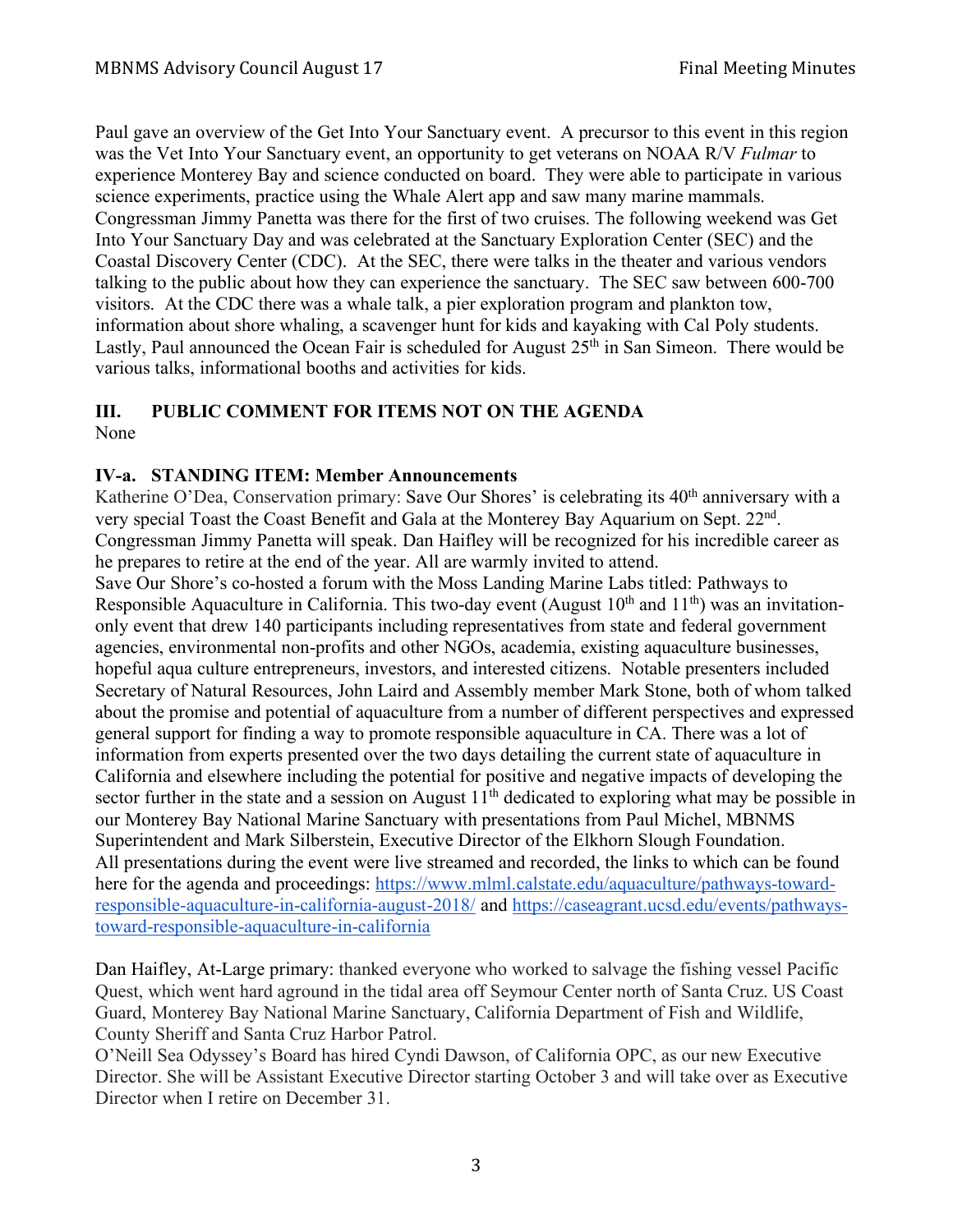Paul gave an overview of the Get Into Your Sanctuary event. A precursor to this event in this region was the Vet Into Your Sanctuary event, an opportunity to get veterans on NOAA R/V *Fulmar* to experience Monterey Bay and science conducted on board. They were able to participate in various science experiments, practice using the Whale Alert app and saw many marine mammals. Congressman Jimmy Panetta was there for the first of two cruises. The following weekend was Get Into Your Sanctuary Day and was celebrated at the Sanctuary Exploration Center (SEC) and the Coastal Discovery Center (CDC). At the SEC, there were talks in the theater and various vendors talking to the public about how they can experience the sanctuary. The SEC saw between 600-700 visitors. At the CDC there was a whale talk, a pier exploration program and plankton tow, information about shore whaling, a scavenger hunt for kids and kayaking with Cal Poly students. Lastly, Paul announced the Ocean Fair is scheduled for August  $25<sup>th</sup>$  in San Simeon. There would be various talks, informational booths and activities for kids.

# **III. PUBLIC COMMENT FOR ITEMS NOT ON THE AGENDA**

None

## **IV-a. STANDING ITEM: Member Announcements**

Katherine O'Dea, Conservation primary: Save Our Shores' is celebrating its 40<sup>th</sup> anniversary with a very special Toast the Coast Benefit and Gala at the Monterey Bay Aquarium on Sept. 22nd. Congressman Jimmy Panetta will speak. Dan Haifley will be recognized for his incredible career as he prepares to retire at the end of the year. All are warmly invited to attend.

Save Our Shore's co-hosted a forum with the Moss Landing Marine Labs titled: Pathways to Responsible Aquaculture in California. This two-day event (August  $10<sup>th</sup>$  and  $11<sup>th</sup>$ ) was an invitationonly event that drew 140 participants including representatives from state and federal government agencies, environmental non-profits and other NGOs, academia, existing aquaculture businesses, hopeful aqua culture entrepreneurs, investors, and interested citizens. Notable presenters included Secretary of Natural Resources, John Laird and Assembly member Mark Stone, both of whom talked about the promise and potential of aquaculture from a number of different perspectives and expressed general support for finding a way to promote responsible aquaculture in CA. There was a lot of information from experts presented over the two days detailing the current state of aquaculture in California and elsewhere including the potential for positive and negative impacts of developing the sector further in the state and a session on August  $11<sup>th</sup>$  dedicated to exploring what may be possible in our Monterey Bay National Marine Sanctuary with presentations from Paul Michel, MBNMS Superintendent and Mark Silberstein, Executive Director of the Elkhorn Slough Foundation. All presentations during the event were live streamed and recorded, the links to which can be found here for the agenda and proceedings: https://www.mlml.calstate.edu/aquaculture/pathways-towardresponsible-aquaculture-in-california-august-2018/ and https://caseagrant.ucsd.edu/events/pathwaystoward-responsible-aquaculture-in-california

Dan Haifley, At-Large primary: thanked everyone who worked to salvage the fishing vessel Pacific Quest, which went hard aground in the tidal area off Seymour Center north of Santa Cruz. US Coast Guard, Monterey Bay National Marine Sanctuary, California Department of Fish and Wildlife, County Sheriff and Santa Cruz Harbor Patrol.

O'Neill Sea Odyssey's Board has hired Cyndi Dawson, of California OPC, as our new Executive Director. She will be Assistant Executive Director starting October 3 and will take over as Executive Director when I retire on December 31.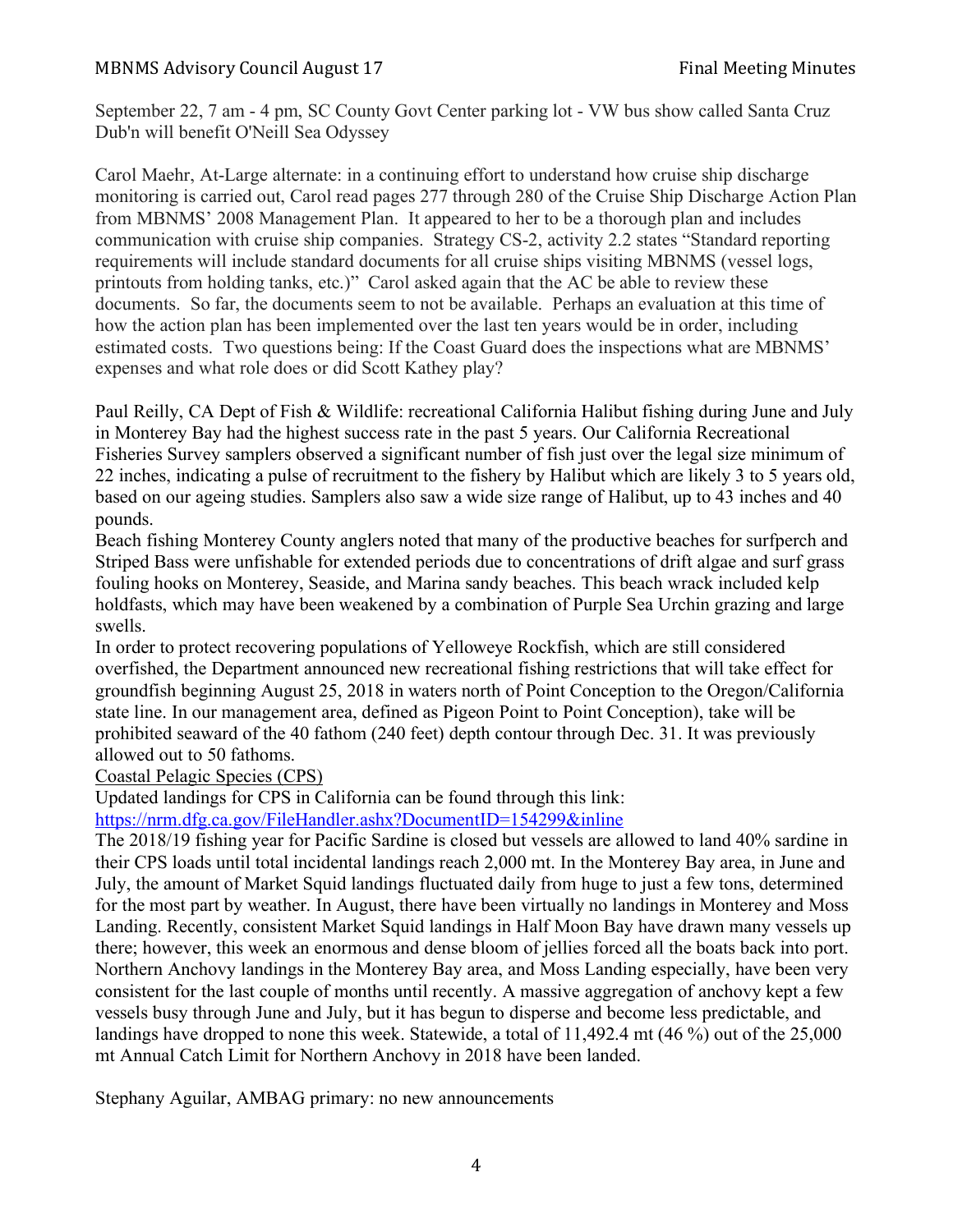## MBNMS Advisory Council August 17 Final Meeting Minutes

September 22, 7 am - 4 pm, SC County Govt Center parking lot - VW bus show called Santa Cruz Dub'n will benefit O'Neill Sea Odyssey

Carol Maehr, At-Large alternate: in a continuing effort to understand how cruise ship discharge monitoring is carried out, Carol read pages 277 through 280 of the Cruise Ship Discharge Action Plan from MBNMS' 2008 Management Plan. It appeared to her to be a thorough plan and includes communication with cruise ship companies. Strategy CS-2, activity 2.2 states "Standard reporting requirements will include standard documents for all cruise ships visiting MBNMS (vessel logs, printouts from holding tanks, etc.)" Carol asked again that the AC be able to review these documents. So far, the documents seem to not be available. Perhaps an evaluation at this time of how the action plan has been implemented over the last ten years would be in order, including estimated costs. Two questions being: If the Coast Guard does the inspections what are MBNMS' expenses and what role does or did Scott Kathey play?

Paul Reilly, CA Dept of Fish & Wildlife: recreational California Halibut fishing during June and July in Monterey Bay had the highest success rate in the past 5 years. Our California Recreational Fisheries Survey samplers observed a significant number of fish just over the legal size minimum of 22 inches, indicating a pulse of recruitment to the fishery by Halibut which are likely 3 to 5 years old, based on our ageing studies. Samplers also saw a wide size range of Halibut, up to 43 inches and 40 pounds.

Beach fishing Monterey County anglers noted that many of the productive beaches for surfperch and Striped Bass were unfishable for extended periods due to concentrations of drift algae and surf grass fouling hooks on Monterey, Seaside, and Marina sandy beaches. This beach wrack included kelp holdfasts, which may have been weakened by a combination of Purple Sea Urchin grazing and large swells.

In order to protect recovering populations of Yelloweye Rockfish, which are still considered overfished, the Department announced new recreational fishing restrictions that will take effect for groundfish beginning August 25, 2018 in waters north of Point Conception to the Oregon/California state line. In our management area, defined as Pigeon Point to Point Conception), take will be prohibited seaward of the 40 fathom (240 feet) depth contour through Dec. 31. It was previously allowed out to 50 fathoms.

#### Coastal Pelagic Species (CPS)

Updated landings for CPS in California can be found through this link:

https://nrm.dfg.ca.gov/FileHandler.ashx?DocumentID=154299&inline

The 2018/19 fishing year for Pacific Sardine is closed but vessels are allowed to land 40% sardine in their CPS loads until total incidental landings reach 2,000 mt. In the Monterey Bay area, in June and July, the amount of Market Squid landings fluctuated daily from huge to just a few tons, determined for the most part by weather. In August, there have been virtually no landings in Monterey and Moss Landing. Recently, consistent Market Squid landings in Half Moon Bay have drawn many vessels up there; however, this week an enormous and dense bloom of jellies forced all the boats back into port. Northern Anchovy landings in the Monterey Bay area, and Moss Landing especially, have been very consistent for the last couple of months until recently. A massive aggregation of anchovy kept a few vessels busy through June and July, but it has begun to disperse and become less predictable, and landings have dropped to none this week. Statewide, a total of 11,492.4 mt (46 %) out of the 25,000 mt Annual Catch Limit for Northern Anchovy in 2018 have been landed.

Stephany Aguilar, AMBAG primary: no new announcements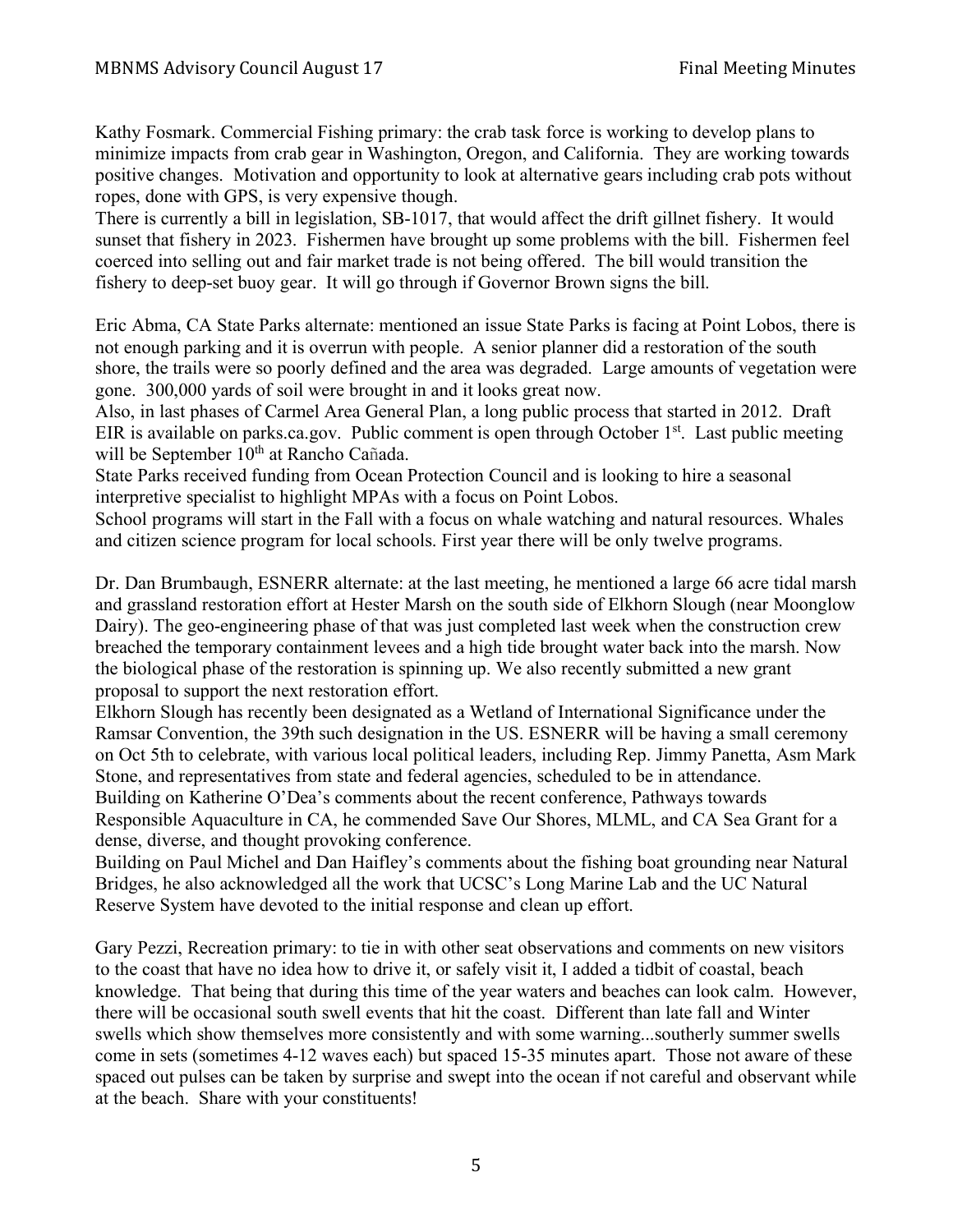Kathy Fosmark. Commercial Fishing primary: the crab task force is working to develop plans to minimize impacts from crab gear in Washington, Oregon, and California. They are working towards positive changes. Motivation and opportunity to look at alternative gears including crab pots without ropes, done with GPS, is very expensive though.

There is currently a bill in legislation, SB-1017, that would affect the drift gillnet fishery. It would sunset that fishery in 2023. Fishermen have brought up some problems with the bill. Fishermen feel coerced into selling out and fair market trade is not being offered. The bill would transition the fishery to deep-set buoy gear. It will go through if Governor Brown signs the bill.

Eric Abma, CA State Parks alternate: mentioned an issue State Parks is facing at Point Lobos, there is not enough parking and it is overrun with people. A senior planner did a restoration of the south shore, the trails were so poorly defined and the area was degraded. Large amounts of vegetation were gone. 300,000 yards of soil were brought in and it looks great now.

Also, in last phases of Carmel Area General Plan, a long public process that started in 2012. Draft EIR is available on parks.ca.gov. Public comment is open through October  $1<sup>st</sup>$ . Last public meeting will be September 10<sup>th</sup> at Rancho Cañada.

State Parks received funding from Ocean Protection Council and is looking to hire a seasonal interpretive specialist to highlight MPAs with a focus on Point Lobos.

School programs will start in the Fall with a focus on whale watching and natural resources. Whales and citizen science program for local schools. First year there will be only twelve programs.

Dr. Dan Brumbaugh, ESNERR alternate: at the last meeting, he mentioned a large 66 acre tidal marsh and grassland restoration effort at Hester Marsh on the south side of Elkhorn Slough (near Moonglow Dairy). The geo-engineering phase of that was just completed last week when the construction crew breached the temporary containment levees and a high tide brought water back into the marsh. Now the biological phase of the restoration is spinning up. We also recently submitted a new grant proposal to support the next restoration effort.

Elkhorn Slough has recently been designated as a Wetland of International Significance under the Ramsar Convention, the 39th such designation in the US. ESNERR will be having a small ceremony on Oct 5th to celebrate, with various local political leaders, including Rep. Jimmy Panetta, Asm Mark Stone, and representatives from state and federal agencies, scheduled to be in attendance. Building on Katherine O'Dea's comments about the recent conference, Pathways towards Responsible Aquaculture in CA, he commended Save Our Shores, MLML, and CA Sea Grant for a dense, diverse, and thought provoking conference.

Building on Paul Michel and Dan Haifley's comments about the fishing boat grounding near Natural Bridges, he also acknowledged all the work that UCSC's Long Marine Lab and the UC Natural Reserve System have devoted to the initial response and clean up effort.

Gary Pezzi, Recreation primary: to tie in with other seat observations and comments on new visitors to the coast that have no idea how to drive it, or safely visit it, I added a tidbit of coastal, beach knowledge. That being that during this time of the year waters and beaches can look calm. However, there will be occasional south swell events that hit the coast. Different than late fall and Winter swells which show themselves more consistently and with some warning...southerly summer swells come in sets (sometimes 4-12 waves each) but spaced 15-35 minutes apart. Those not aware of these spaced out pulses can be taken by surprise and swept into the ocean if not careful and observant while at the beach. Share with your constituents!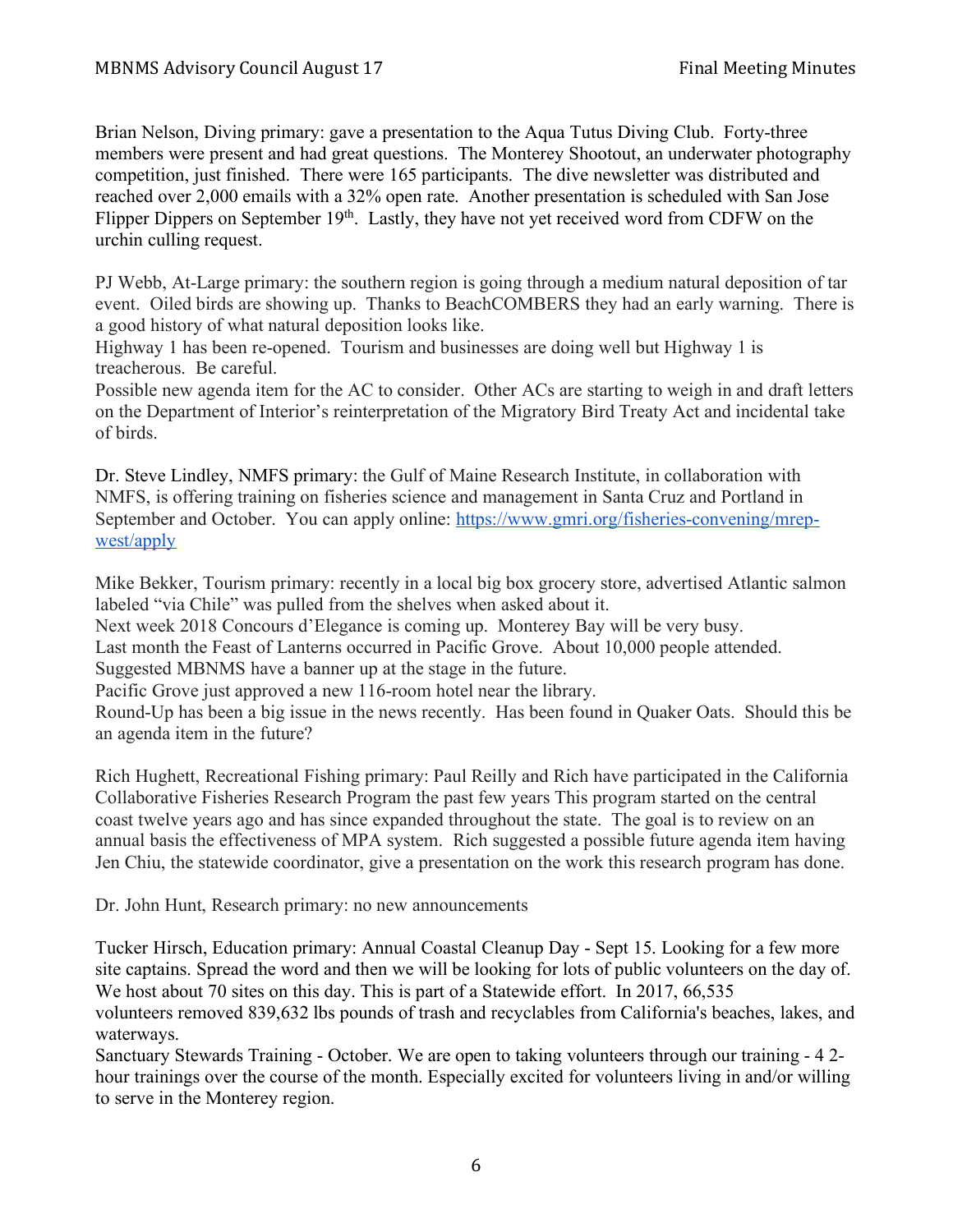Brian Nelson, Diving primary: gave a presentation to the Aqua Tutus Diving Club. Forty-three members were present and had great questions. The Monterey Shootout, an underwater photography competition, just finished. There were 165 participants. The dive newsletter was distributed and reached over 2,000 emails with a 32% open rate. Another presentation is scheduled with San Jose Flipper Dippers on September 19<sup>th</sup>. Lastly, they have not yet received word from CDFW on the urchin culling request.

PJ Webb, At-Large primary: the southern region is going through a medium natural deposition of tar event. Oiled birds are showing up. Thanks to BeachCOMBERS they had an early warning. There is a good history of what natural deposition looks like.

Highway 1 has been re-opened. Tourism and businesses are doing well but Highway 1 is treacherous. Be careful.

Possible new agenda item for the AC to consider. Other ACs are starting to weigh in and draft letters on the Department of Interior's reinterpretation of the Migratory Bird Treaty Act and incidental take of birds.

Dr. Steve Lindley, NMFS primary: the Gulf of Maine Research Institute, in collaboration with NMFS, is offering training on fisheries science and management in Santa Cruz and Portland in September and October. You can apply online: https://www.gmri.org/fisheries-convening/mrepwest/apply

Mike Bekker, Tourism primary: recently in a local big box grocery store, advertised Atlantic salmon labeled "via Chile" was pulled from the shelves when asked about it.

Next week 2018 Concours d'Elegance is coming up. Monterey Bay will be very busy.

Last month the Feast of Lanterns occurred in Pacific Grove. About 10,000 people attended.

Suggested MBNMS have a banner up at the stage in the future.

Pacific Grove just approved a new 116-room hotel near the library.

Round-Up has been a big issue in the news recently. Has been found in Quaker Oats. Should this be an agenda item in the future?

Rich Hughett, Recreational Fishing primary: Paul Reilly and Rich have participated in the California Collaborative Fisheries Research Program the past few years This program started on the central coast twelve years ago and has since expanded throughout the state. The goal is to review on an annual basis the effectiveness of MPA system. Rich suggested a possible future agenda item having Jen Chiu, the statewide coordinator, give a presentation on the work this research program has done.

Dr. John Hunt, Research primary: no new announcements

Tucker Hirsch, Education primary: Annual Coastal Cleanup Day - Sept 15. Looking for a few more site captains. Spread the word and then we will be looking for lots of public volunteers on the day of. We host about 70 sites on this day. This is part of a Statewide effort. In 2017, 66,535 volunteers removed 839,632 lbs pounds of trash and recyclables from California's beaches, lakes, and

waterways.

Sanctuary Stewards Training - October. We are open to taking volunteers through our training - 4 2 hour trainings over the course of the month. Especially excited for volunteers living in and/or willing to serve in the Monterey region.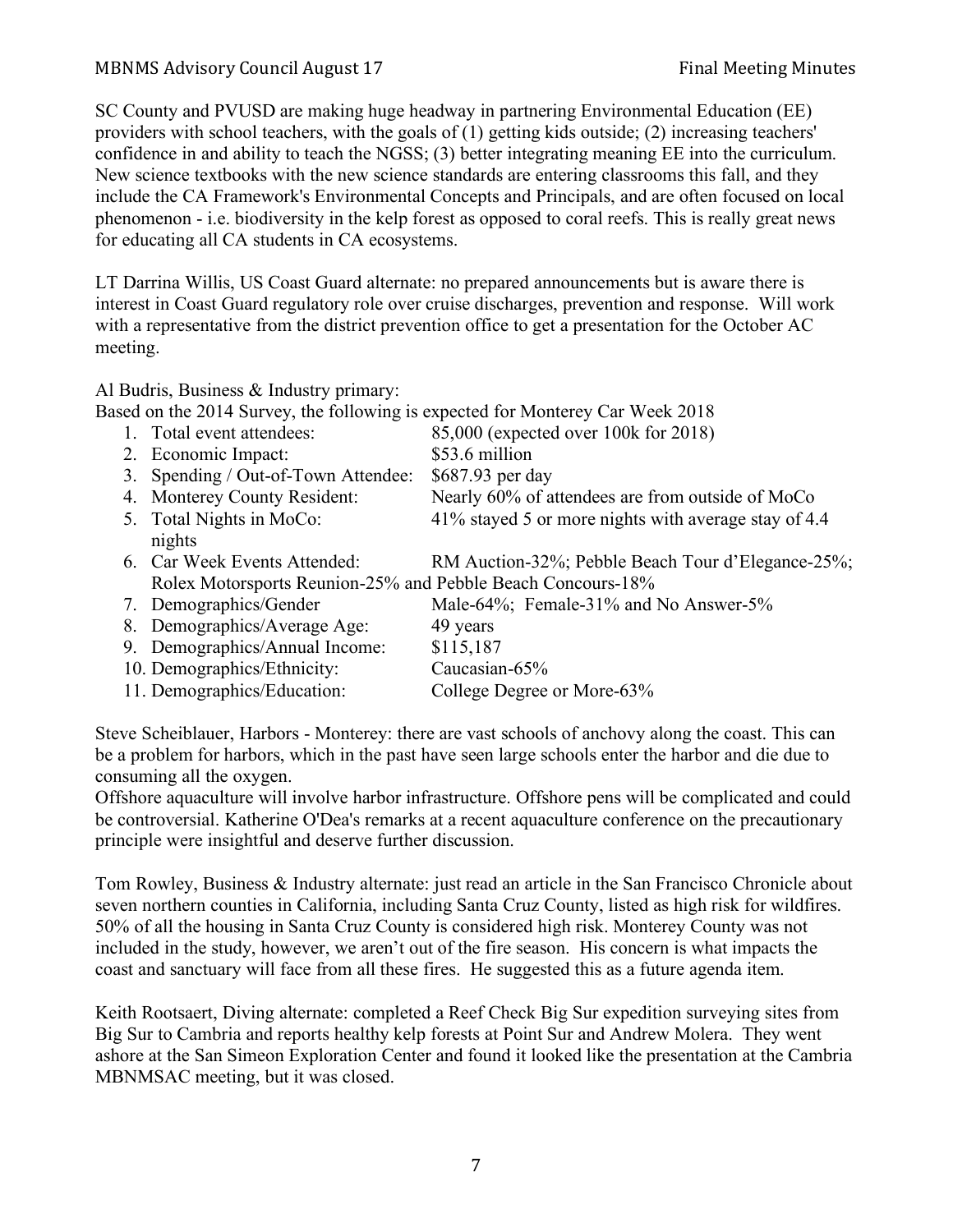## MBNMS Advisory Council August 17 Final Meeting Minutes

SC County and PVUSD are making huge headway in partnering Environmental Education (EE) providers with school teachers, with the goals of (1) getting kids outside; (2) increasing teachers' confidence in and ability to teach the NGSS; (3) better integrating meaning EE into the curriculum. New science textbooks with the new science standards are entering classrooms this fall, and they include the CA Framework's Environmental Concepts and Principals, and are often focused on local phenomenon - i.e. biodiversity in the kelp forest as opposed to coral reefs. This is really great news for educating all CA students in CA ecosystems.

LT Darrina Willis, US Coast Guard alternate: no prepared announcements but is aware there is interest in Coast Guard regulatory role over cruise discharges, prevention and response. Will work with a representative from the district prevention office to get a presentation for the October AC meeting.

Al Budris, Business & Industry primary:

Based on the 2014 Survey, the following is expected for Monterey Car Week 2018

|  | 1. Total event attendees:                                   | 85,000 (expected over 100k for 2018)                 |
|--|-------------------------------------------------------------|------------------------------------------------------|
|  | 2. Economic Impact:                                         | \$53.6 million                                       |
|  | 3. Spending / Out-of-Town Attendee:                         | \$687.93 per day                                     |
|  | 4. Monterey County Resident:                                | Nearly 60% of attendees are from outside of MoCo     |
|  | 5. Total Nights in MoCo:                                    | 41% stayed 5 or more nights with average stay of 4.4 |
|  | nights                                                      |                                                      |
|  | 6. Car Week Events Attended:                                | RM Auction-32%; Pebble Beach Tour d'Elegance-25%;    |
|  | Rolex Motorsports Reunion-25% and Pebble Beach Concours-18% |                                                      |
|  | 7. Demographics/Gender                                      | Male-64%; Female-31% and No Answer-5%                |
|  | 8. Demographics/Average Age:                                | 49 years                                             |
|  | 9. Demographics/Annual Income:                              | \$115,187                                            |
|  | 10. Demographics/Ethnicity:                                 | Caucasian-65%                                        |
|  | 11. Demographics/Education:                                 | College Degree or More-63%                           |
|  |                                                             |                                                      |

Steve Scheiblauer, Harbors - Monterey: there are vast schools of anchovy along the coast. This can be a problem for harbors, which in the past have seen large schools enter the harbor and die due to consuming all the oxygen.

Offshore aquaculture will involve harbor infrastructure. Offshore pens will be complicated and could be controversial. Katherine O'Dea's remarks at a recent aquaculture conference on the precautionary principle were insightful and deserve further discussion.

Tom Rowley, Business & Industry alternate: just read an article in the San Francisco Chronicle about seven northern counties in California, including Santa Cruz County, listed as high risk for wildfires. 50% of all the housing in Santa Cruz County is considered high risk. Monterey County was not included in the study, however, we aren't out of the fire season. His concern is what impacts the coast and sanctuary will face from all these fires. He suggested this as a future agenda item.

Keith Rootsaert, Diving alternate: completed a Reef Check Big Sur expedition surveying sites from Big Sur to Cambria and reports healthy kelp forests at Point Sur and Andrew Molera. They went ashore at the San Simeon Exploration Center and found it looked like the presentation at the Cambria MBNMSAC meeting, but it was closed.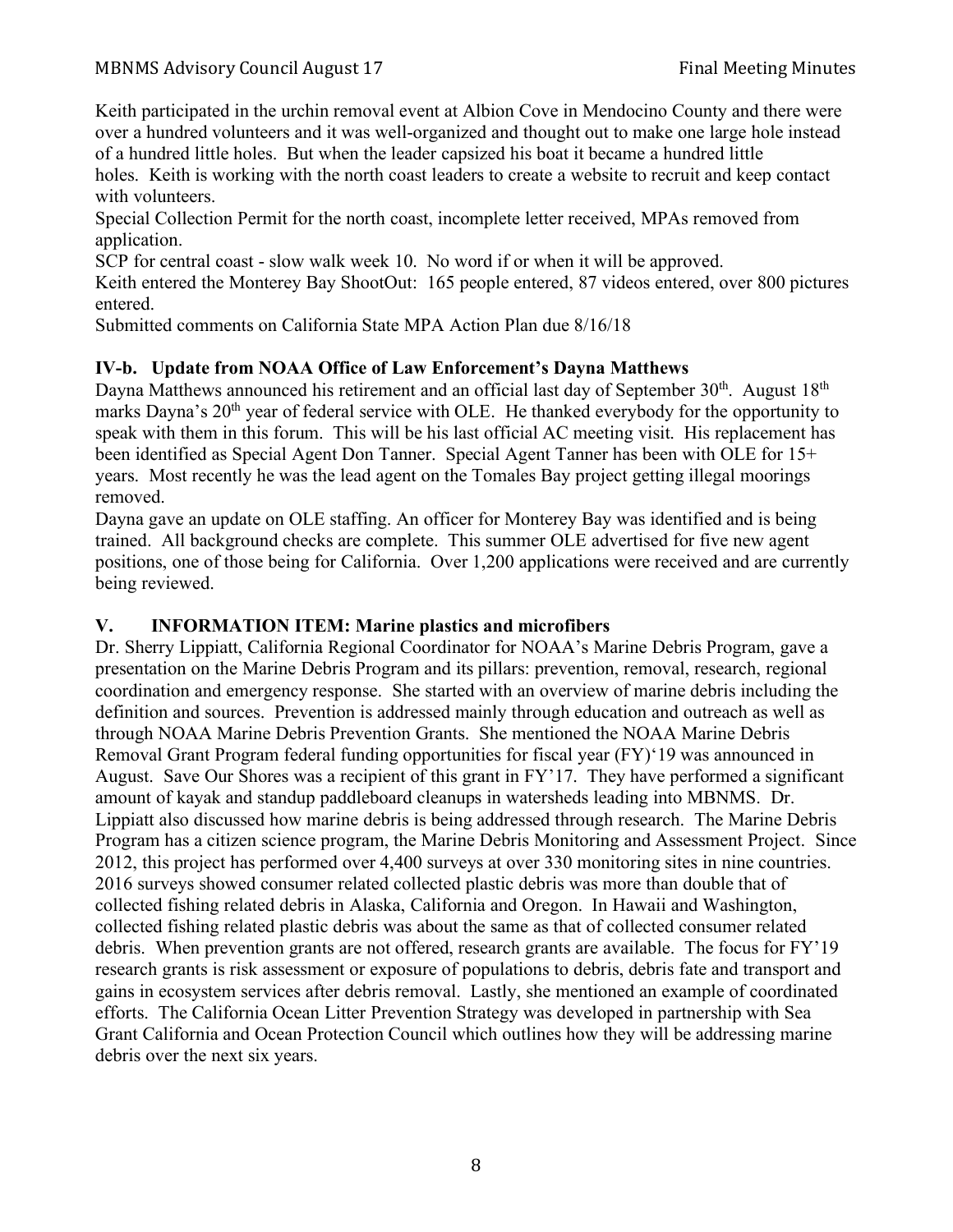Keith participated in the urchin removal event at Albion Cove in Mendocino County and there were over a hundred volunteers and it was well-organized and thought out to make one large hole instead of a hundred little holes. But when the leader capsized his boat it became a hundred little holes. Keith is working with the north coast leaders to create a website to recruit and keep contact with volunteers.

Special Collection Permit for the north coast, incomplete letter received, MPAs removed from application.

SCP for central coast - slow walk week 10. No word if or when it will be approved.

Keith entered the Monterey Bay ShootOut: 165 people entered, 87 videos entered, over 800 pictures entered.

Submitted comments on California State MPA Action Plan due 8/16/18

## **IV-b. Update from NOAA Office of Law Enforcement's Dayna Matthews**

Dayna Matthews announced his retirement and an official last day of September  $30<sup>th</sup>$ . August  $18<sup>th</sup>$ marks Dayna's 20<sup>th</sup> year of federal service with OLE. He thanked everybody for the opportunity to speak with them in this forum. This will be his last official AC meeting visit. His replacement has been identified as Special Agent Don Tanner. Special Agent Tanner has been with OLE for 15+ years. Most recently he was the lead agent on the Tomales Bay project getting illegal moorings removed.

Dayna gave an update on OLE staffing. An officer for Monterey Bay was identified and is being trained. All background checks are complete. This summer OLE advertised for five new agent positions, one of those being for California. Over 1,200 applications were received and are currently being reviewed.

## **V. INFORMATION ITEM: Marine plastics and microfibers**

Dr. Sherry Lippiatt, California Regional Coordinator for NOAA's Marine Debris Program, gave a presentation on the Marine Debris Program and its pillars: prevention, removal, research, regional coordination and emergency response. She started with an overview of marine debris including the definition and sources. Prevention is addressed mainly through education and outreach as well as through NOAA Marine Debris Prevention Grants. She mentioned the NOAA Marine Debris Removal Grant Program federal funding opportunities for fiscal year (FY)'19 was announced in August. Save Our Shores was a recipient of this grant in FY'17. They have performed a significant amount of kayak and standup paddleboard cleanups in watersheds leading into MBNMS. Dr. Lippiatt also discussed how marine debris is being addressed through research. The Marine Debris Program has a citizen science program, the Marine Debris Monitoring and Assessment Project. Since 2012, this project has performed over 4,400 surveys at over 330 monitoring sites in nine countries. 2016 surveys showed consumer related collected plastic debris was more than double that of collected fishing related debris in Alaska, California and Oregon. In Hawaii and Washington, collected fishing related plastic debris was about the same as that of collected consumer related debris. When prevention grants are not offered, research grants are available. The focus for FY'19 research grants is risk assessment or exposure of populations to debris, debris fate and transport and gains in ecosystem services after debris removal. Lastly, she mentioned an example of coordinated efforts. The California Ocean Litter Prevention Strategy was developed in partnership with Sea Grant California and Ocean Protection Council which outlines how they will be addressing marine debris over the next six years.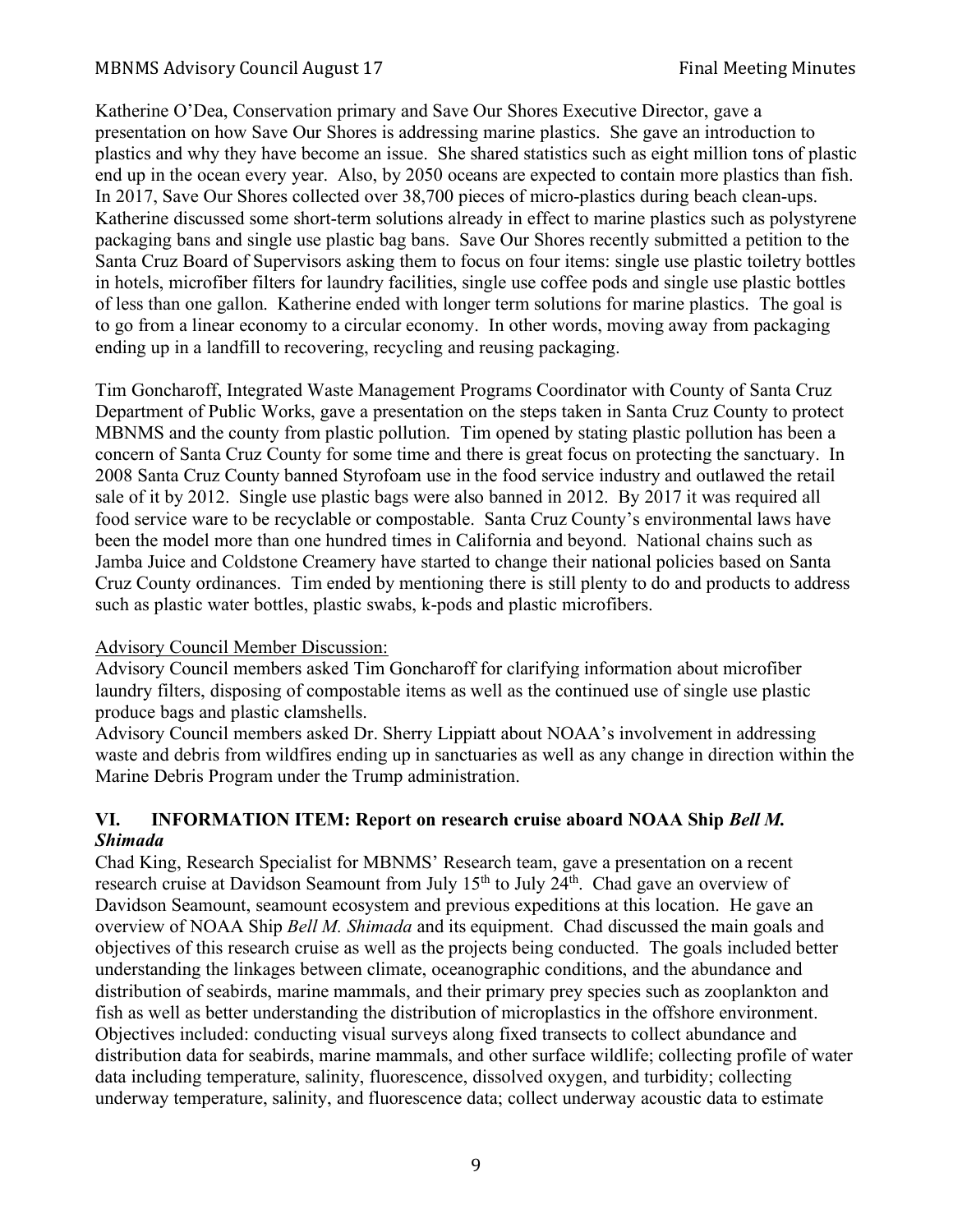### MBNMS Advisory Council August 17 Final Meeting Minutes

Katherine O'Dea, Conservation primary and Save Our Shores Executive Director, gave a presentation on how Save Our Shores is addressing marine plastics. She gave an introduction to plastics and why they have become an issue. She shared statistics such as eight million tons of plastic end up in the ocean every year. Also, by 2050 oceans are expected to contain more plastics than fish. In 2017, Save Our Shores collected over 38,700 pieces of micro-plastics during beach clean-ups. Katherine discussed some short-term solutions already in effect to marine plastics such as polystyrene packaging bans and single use plastic bag bans. Save Our Shores recently submitted a petition to the Santa Cruz Board of Supervisors asking them to focus on four items: single use plastic toiletry bottles in hotels, microfiber filters for laundry facilities, single use coffee pods and single use plastic bottles of less than one gallon. Katherine ended with longer term solutions for marine plastics. The goal is to go from a linear economy to a circular economy. In other words, moving away from packaging ending up in a landfill to recovering, recycling and reusing packaging.

Tim Goncharoff, Integrated Waste Management Programs Coordinator with County of Santa Cruz Department of Public Works, gave a presentation on the steps taken in Santa Cruz County to protect MBNMS and the county from plastic pollution. Tim opened by stating plastic pollution has been a concern of Santa Cruz County for some time and there is great focus on protecting the sanctuary. In 2008 Santa Cruz County banned Styrofoam use in the food service industry and outlawed the retail sale of it by 2012. Single use plastic bags were also banned in 2012. By 2017 it was required all food service ware to be recyclable or compostable. Santa Cruz County's environmental laws have been the model more than one hundred times in California and beyond. National chains such as Jamba Juice and Coldstone Creamery have started to change their national policies based on Santa Cruz County ordinances. Tim ended by mentioning there is still plenty to do and products to address such as plastic water bottles, plastic swabs, k-pods and plastic microfibers.

#### Advisory Council Member Discussion:

Advisory Council members asked Tim Goncharoff for clarifying information about microfiber laundry filters, disposing of compostable items as well as the continued use of single use plastic produce bags and plastic clamshells.

Advisory Council members asked Dr. Sherry Lippiatt about NOAA's involvement in addressing waste and debris from wildfires ending up in sanctuaries as well as any change in direction within the Marine Debris Program under the Trump administration.

### **VI. INFORMATION ITEM: Report on research cruise aboard NOAA Ship** *Bell M. Shimada*

Chad King, Research Specialist for MBNMS' Research team, gave a presentation on a recent research cruise at Davidson Seamount from July 15<sup>th</sup> to July 24<sup>th</sup>. Chad gave an overview of Davidson Seamount, seamount ecosystem and previous expeditions at this location. He gave an overview of NOAA Ship *Bell M. Shimada* and its equipment. Chad discussed the main goals and objectives of this research cruise as well as the projects being conducted. The goals included better understanding the linkages between climate, oceanographic conditions, and the abundance and distribution of seabirds, marine mammals, and their primary prey species such as zooplankton and fish as well as better understanding the distribution of microplastics in the offshore environment. Objectives included: conducting visual surveys along fixed transects to collect abundance and distribution data for seabirds, marine mammals, and other surface wildlife; collecting profile of water data including temperature, salinity, fluorescence, dissolved oxygen, and turbidity; collecting underway temperature, salinity, and fluorescence data; collect underway acoustic data to estimate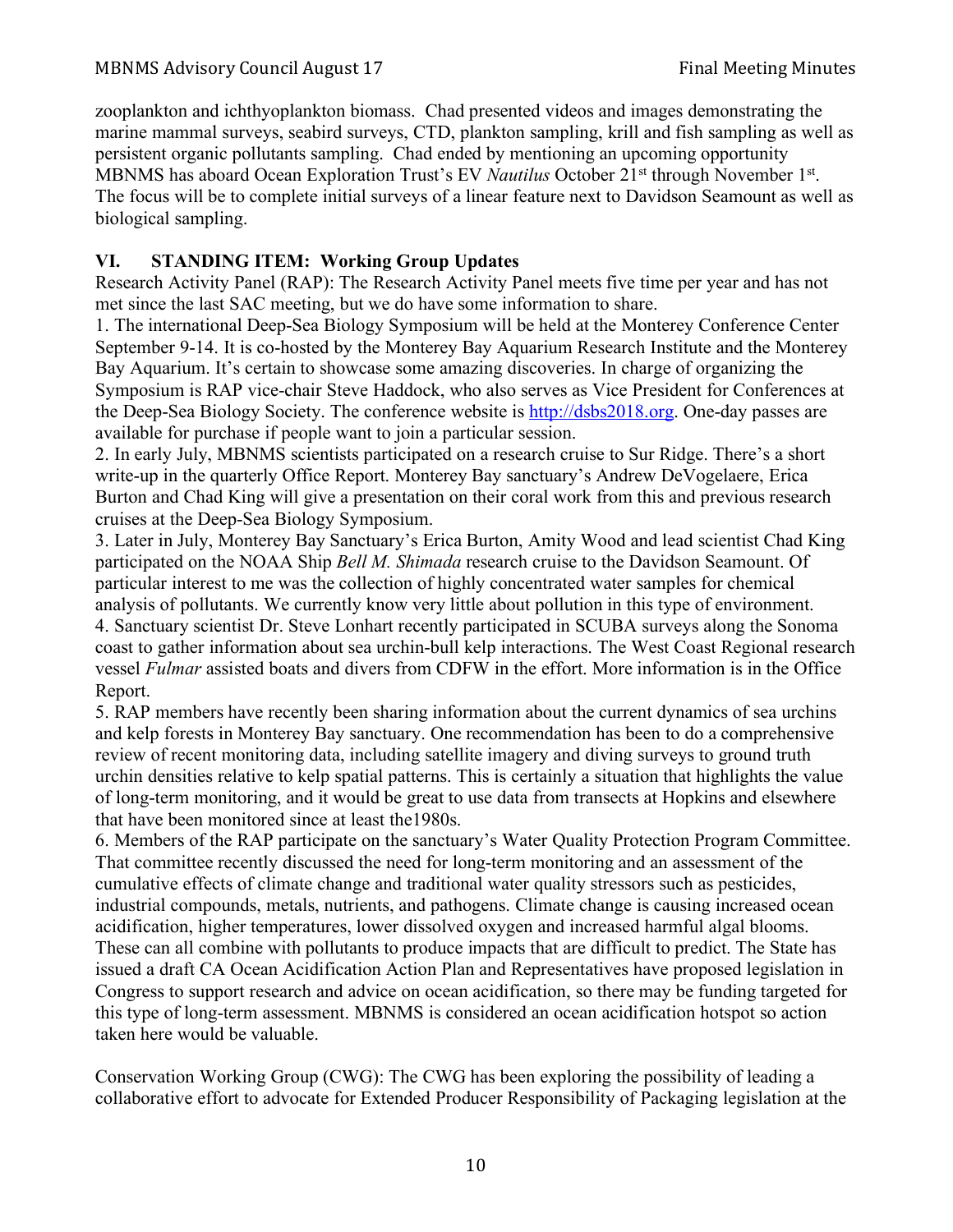zooplankton and ichthyoplankton biomass. Chad presented videos and images demonstrating the marine mammal surveys, seabird surveys, CTD, plankton sampling, krill and fish sampling as well as persistent organic pollutants sampling. Chad ended by mentioning an upcoming opportunity MBNMS has aboard Ocean Exploration Trust's EV *Nautilus* October 21st through November 1st. The focus will be to complete initial surveys of a linear feature next to Davidson Seamount as well as biological sampling.

## **VI. STANDING ITEM: Working Group Updates**

Research Activity Panel (RAP): The Research Activity Panel meets five time per year and has not met since the last SAC meeting, but we do have some information to share.

1. The international Deep-Sea Biology Symposium will be held at the Monterey Conference Center September 9-14. It is co-hosted by the Monterey Bay Aquarium Research Institute and the Monterey Bay Aquarium. It's certain to showcase some amazing discoveries. In charge of organizing the Symposium is RAP vice-chair Steve Haddock, who also serves as Vice President for Conferences at the Deep-Sea Biology Society. The conference website is http://dsbs2018.org. One-day passes are available for purchase if people want to join a particular session.

2. In early July, MBNMS scientists participated on a research cruise to Sur Ridge. There's a short write-up in the quarterly Office Report. Monterey Bay sanctuary's Andrew DeVogelaere, Erica Burton and Chad King will give a presentation on their coral work from this and previous research cruises at the Deep-Sea Biology Symposium.

3. Later in July, Monterey Bay Sanctuary's Erica Burton, Amity Wood and lead scientist Chad King participated on the NOAA Ship *Bell M. Shimada* research cruise to the Davidson Seamount. Of particular interest to me was the collection of highly concentrated water samples for chemical analysis of pollutants. We currently know very little about pollution in this type of environment. 4. Sanctuary scientist Dr. Steve Lonhart recently participated in SCUBA surveys along the Sonoma coast to gather information about sea urchin-bull kelp interactions. The West Coast Regional research vessel *Fulmar* assisted boats and divers from CDFW in the effort. More information is in the Office Report.

5. RAP members have recently been sharing information about the current dynamics of sea urchins and kelp forests in Monterey Bay sanctuary. One recommendation has been to do a comprehensive review of recent monitoring data, including satellite imagery and diving surveys to ground truth urchin densities relative to kelp spatial patterns. This is certainly a situation that highlights the value of long-term monitoring, and it would be great to use data from transects at Hopkins and elsewhere that have been monitored since at least the1980s.

6. Members of the RAP participate on the sanctuary's Water Quality Protection Program Committee. That committee recently discussed the need for long-term monitoring and an assessment of the cumulative effects of climate change and traditional water quality stressors such as pesticides, industrial compounds, metals, nutrients, and pathogens. Climate change is causing increased ocean acidification, higher temperatures, lower dissolved oxygen and increased harmful algal blooms. These can all combine with pollutants to produce impacts that are difficult to predict. The State has issued a draft CA Ocean Acidification Action Plan and Representatives have proposed legislation in Congress to support research and advice on ocean acidification, so there may be funding targeted for this type of long-term assessment. MBNMS is considered an ocean acidification hotspot so action taken here would be valuable.

Conservation Working Group (CWG): The CWG has been exploring the possibility of leading a collaborative effort to advocate for Extended Producer Responsibility of Packaging legislation at the